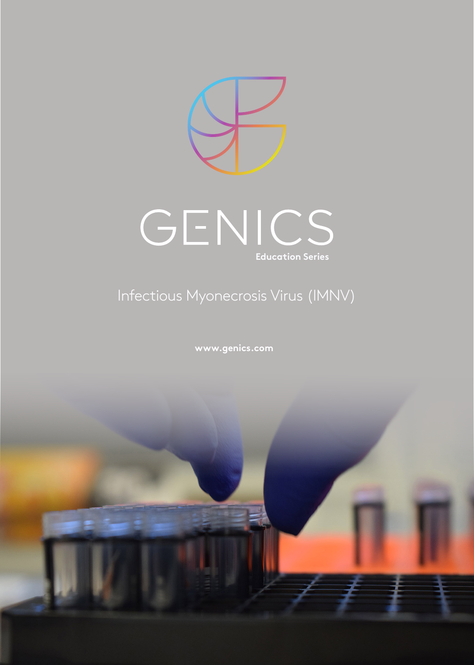



# Infectious Myonecrosis Virus (IMNV)

**www.genics.com**

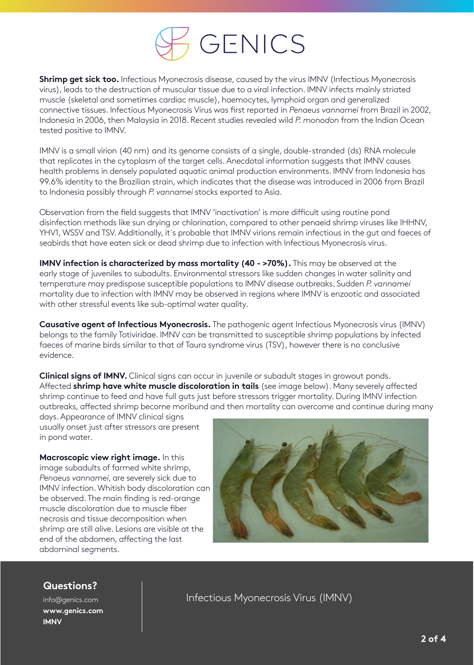

**Shrimp get sick too.** Infectious Myonecrosis disease, caused by the virus IMNV (Infectious Myonecrosis virus), leads to the destruction of muscular tissue due to a viral infection. IMNV infects mainly striated muscle (skeletal and sometimes cardiac muscle), haemocytes, lymphoid organ and generalized connective tissues. Infectious Myonecrosis Virus was first reported in *Penaeus vannamei* from Brazil in 2002, Indonesia in 2006, then Malaysia in 2018. Recent studies revealed wild *P. monodon* from the Indian Ocean tested positive to IMNV.

IMNV is a small virion (40 nm) and its genome consists of a single, double-stranded (ds) RNA molecule that replicates in the cytoplasm of the target cells. Anecdotal information suggests that IMNV causes health problems in densely populated aquatic animal production environments. IMNV from Indonesia has 99.6% identity to the Brazilian strain, which indicates that the disease was introduced in 2006 from Brazil to Indonesia possibly through *P. vannamei* stocks exported to Asia.

Observation from the field suggests that IMNV 'inactivation' is more difficult using routine pond disinfection methods like sun drying or chlorination, compared to other penaeid shrimp viruses like IHHNV, YHV1, WSSV and TSV. Additionally, it´s probable that IMNV virions remain infectious in the gut and faeces of seabirds that have eaten sick or dead shrimp due to infection with Infectious Myonecrosis virus.

**IMNV infection is characterized by mass mortality (40 - >70%).** This may be observed at the early stage of juveniles to subadults. Environmental stressors like sudden changes in water salinity and temperature may predispose susceptible populations to IMNV disease outbreaks. Sudden *P. vannamei*  mortality due to infection with IMNV may be observed in regions where IMNV is enzootic and associated with other stressful events like sub-optimal water quality.

**Causative agent of Infectious Myonecrosis.** The pathogenic agent Infectious Myonecrosis virus (IMNV) belongs to the family Totiviridae. IMNV can be transmitted to susceptible shrimp populations by infected faeces of marine birds similar to that of Taura syndrome virus (TSV), however there is no conclusive evidence.

**Clinical signs of IMNV.** Clinical signs can occur in juvenile or subadult stages in growout ponds. Affected **shrimp have white muscle discoloration in tails** (see image below). Many severely affected shrimp continue to feed and have full guts just before stressors trigger mortality. During IMNV infection outbreaks, affected shrimp become moribund and then mortality can overcome and continue during many

days. Appearance of IMNV clinical signs usually onset just after stressors are present in pond water.

**Macroscopic view right image.** In this image subadults of farmed white shrimp, *Penaeus vannamei*, are severely sick due to IMNV infection. Whitish body discoloration can be observed. The main finding is red-orange muscle discoloration due to muscle fiber necrosis and tissue decomposition when shrimp are still alive. Lesions are visible at the end of the abdomen, affecting the last abdominal segments.



## **Questions?**

info@genics.com **www.genics.com IMNV**

Infectious Myonecrosis Virus (IMNV)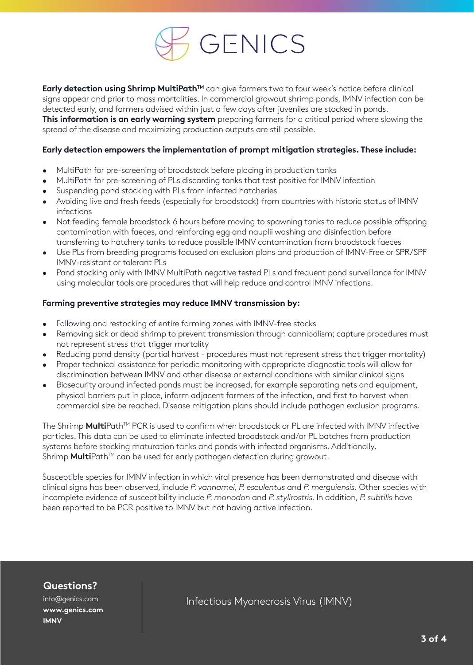

**Early detection using Shrimp MultiPath™** can give farmers two to four week's notice before clinical signs appear and prior to mass mortalities. In commercial growout shrimp ponds, IMNV infection can be detected early, and farmers advised within just a few days after juveniles are stocked in ponds. **This information is an early warning system** preparing farmers for a critical period where slowing the spread of the disease and maximizing production outputs are still possible.

#### **Early detection empowers the implementation of prompt mitigation strategies. These include:**

- MultiPath for pre-screening of broodstock before placing in production tanks
- MultiPath for pre-screening of PLs discarding tanks that test positive for IMNV infection
- Suspending pond stocking with PLs from infected hatcheries
- Avoiding live and fresh feeds (especially for broodstock) from countries with historic status of IMNV infections
- Not feeding female broodstock 6 hours before moving to spawning tanks to reduce possible offspring contamination with faeces, and reinforcing egg and nauplii washing and disinfection before transferring to hatchery tanks to reduce possible IMNV contamination from broodstock faeces
- Use PLs from breeding programs focused on exclusion plans and production of IMNV-Free or SPR/SPF IMNV-resistant or tolerant PLs
- Pond stocking only with IMNV MultiPath negative tested PLs and frequent pond surveillance for IMNV using molecular tools are procedures that will help reduce and control IMNV infections.

#### **Farming preventive strategies may reduce IMNV transmission by:**

- Fallowing and restocking of entire farming zones with IMNV-free stocks
- Removing sick or dead shrimp to prevent transmission through cannibalism; capture procedures must not represent stress that trigger mortality
- Reducing pond density (partial harvest procedures must not represent stress that trigger mortality) • Proper technical assistance for periodic monitoring with appropriate diagnostic tools will allow for
- discrimination between IMNV and other disease or external conditions with similar clinical signs • Biosecurity around infected ponds must be increased, for example separating nets and equipment,
- physical barriers put in place, inform adjacent farmers of the infection, and first to harvest when commercial size be reached. Disease mitigation plans should include pathogen exclusion programs.

The Shrimp MultiPath<sup>™</sup> PCR is used to confirm when broodstock or PL are infected with IMNV infective particles. This data can be used to eliminate infected broodstock and/or PL batches from production systems before stocking maturation tanks and ponds with infected organisms. Additionally, Shrimp **Multi**Path<sup>™</sup> can be used for early pathogen detection during growout.

Susceptible species for IMNV infection in which viral presence has been demonstrated and disease with clinical signs has been observed, include *P. vannamei, P. esculentus* and *P. merguiensis.* Other species with incomplete evidence of susceptibility include *P. monodon* and *P. stylirostris*. In addition, *P. subtilis* have been reported to be PCR positive to IMNV but not having active infection.

## **Questions?**

info@genics.com **www.genics.com IMNV**

Infectious Myonecrosis Virus (IMNV)